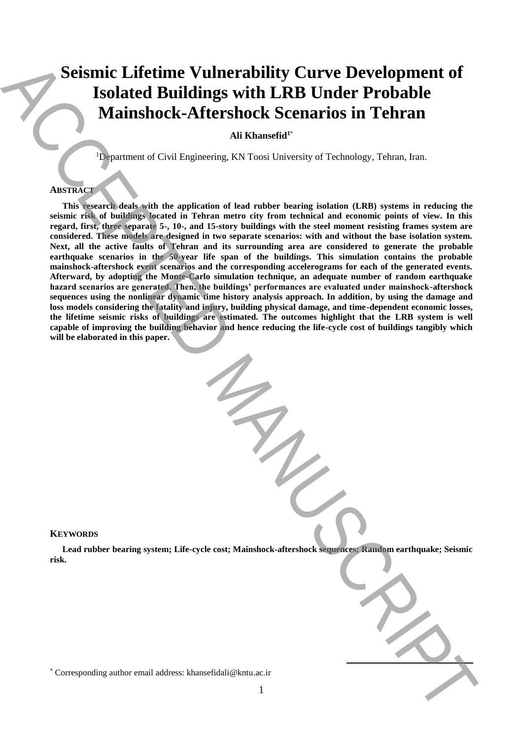# **Seismic Lifetime Vulnerability Curve Development of Isolated Buildings with LRB Under Probable Mainshock-Aftershock Scenarios in Tehran**

**Ali Khansefid<sup>1</sup>**\*

<sup>1</sup>Department of Civil Engineering, KN Toosi University of Technology, Tehran, Iran.

## **ABSTRACT**

**This research deals with the application of lead rubber bearing isolation (LRB) systems in reducing the seismic risk of buildings located in Tehran metro city from technical and economic points of view. In this regard, first, three separate 5-, 10-, and 15-story buildings with the steel moment resisting frames system are considered. These models are designed in two separate scenarios: with and without the base isolation system. Next, all the active faults of Tehran and its surrounding area are considered to generate the probable earthquake scenarios in the 50-year life span of the buildings. This simulation contains the probable mainshock-aftershock event scenarios and the corresponding accelerograms for each of the generated events. Afterward, by adopting the Monte-Carlo simulation technique, an adequate number of random earthquake hazard scenarios are generated. Then, the buildings' performances are evaluated under mainshock-aftershock sequences using the nonlinear dynamic time history analysis approach. In addition, by using the damage and loss models considering the fatality and injury, building physical damage, and time-dependent economic losses, the lifetime seismic risks of buildings are estimated. The outcomes highlight that the LRB system is well capable of improving the building behavior and hence reducing the life-cycle cost of buildings tangibly which will be elaborated in this paper.** Seismic Lifetime Vulnerability Curve Development of<br>
Isolated Buildings with LRB Under Probable<br>
Mainshock-Aftershock Scenarios in Tehran<br>
Authorities and the systems of Civil Englishers of Known between initiative author

## **KEYWORDS**

**Lead rubber bearing system; Life-cycle cost; Mainshock-aftershock sequences; Random earthquake; Seismic risk.**

 $\overline{a}$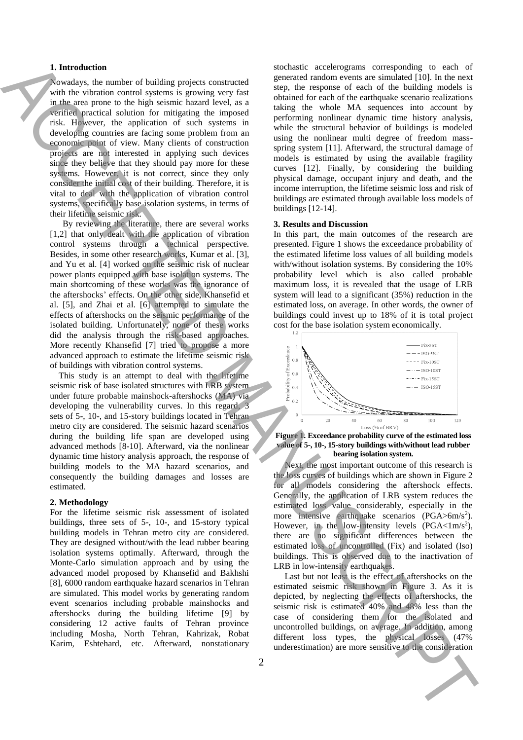## **1. Introduction**

Nowadays, the number of building projects constructed with the vibration control systems is growing very fast in the area prone to the high seismic hazard level, as a verified practical solution for mitigating the imposed risk. However, the application of such systems in developing countries are facing some problem from an economic point of view. Many clients of construction projects are not interested in applying such devices since they believe that they should pay more for these systems. However, it is not correct, since they only consider the initial cost of their building. Therefore, it is vital to deal with the application of vibration control systems, specifically base isolation systems, in terms of their lifetime seismic risk.

By reviewing the literature, there are several works [1,2] that only dealt with the application of vibration control systems through a technical perspective. Besides, in some other research works, Kumar et al. [3], and Yu et al. [4] worked on the seismic risk of nuclear power plants equipped with base isolation systems. The main shortcoming of these works was the ignorance of the aftershocks' effects. On the other side, Khansefid et al. [5], and Zhai et al. [6] attempted to simulate the effects of aftershocks on the seismic performance of the isolated building. Unfortunately, none of these works did the analysis through the risk-based approaches. More recently Khansefid [7] tried to propose a more advanced approach to estimate the lifetime seismic risk of buildings with vibration control systems.

 This study is an attempt to deal with the lifetime seismic risk of base isolated structures with LRB system under future probable mainshock-aftershocks (MA) via developing the vulnerability curves. In this regard, 3 sets of 5-, 10-, and 15-story buildings located in Tehran metro city are considered. The seismic hazard scenarios during the building life span are developed using advanced methods [8-10]. Afterward, via the nonlinear dynamic time history analysis approach, the response of building models to the MA hazard scenarios, and consequently the building damages and losses are estimated.

#### **2. Methodology**

For the lifetime seismic risk assessment of isolated buildings, three sets of 5-, 10-, and 15-story typical building models in Tehran metro city are considered. They are designed without/with the lead rubber bearing isolation systems optimally. Afterward, through the Monte-Carlo simulation approach and by using the advanced model proposed by Khansefid and Bakhshi [8], 6000 random earthquake hazard scenarios in Tehran are simulated. This model works by generating random event scenarios including probable mainshocks and aftershocks during the building lifetime [9] by considering 12 active faults of Tehran province including Mosha, North Tehran, Kahrizak, Robat Karim, Eshtehard, etc. Afterward, nonstationary

stochastic accelerograms corresponding to each of generated random events are simulated [10]. In the next step, the response of each of the building models is obtained for each of the earthquake scenario realizations taking the whole MA sequences into account by performing nonlinear dynamic time history analysis, while the structural behavior of buildings is modeled using the nonlinear multi degree of freedom massspring system [11]. Afterward, the structural damage of models is estimated by using the available fragility curves [12]. Finally, by considering the building physical damage, occupant injury and death, and the income interruption, the lifetime seismic loss and risk of buildings are estimated through available loss models of buildings [12-14]. L. Fourthelm the consideration of the consideration of the consideration of the consideration of the consideration of the consideration of the consideration and the consideration of the consideration and the consideration

#### **3. Results and Discussion**

In this part, the main outcomes of the research are presented. Figure 1 shows the exceedance probability of the estimated lifetime loss values of all building models with/without isolation systems. By considering the 10% probability level which is also called probable maximum loss, it is revealed that the usage of LRB system will lead to a significant (35%) reduction in the estimated loss, on average. In other words, the owner of buildings could invest up to 18% of it is total project cost for the base isolation system economically.





 Next, the most important outcome of this research is the loss curves of buildings which are shown in Figure 2 for all models considering the aftershock effects. Generally, the application of LRB system reduces the estimated loss value considerably, especially in the more intensive earthquake scenarios (PGA>6m/s<sup>2</sup>). However, in the low-intensity levels  $(PGA < 1m/s^2)$ , there are no significant differences between the estimated loss of uncontrolled (Fix) and isolated (Iso) buildings. This is observed due to the inactivation of LRB in low-intensity earthquakes.

 Last but not least is the effect of aftershocks on the estimated seismic risk shown in Figure 3. As it is depicted, by neglecting the effects of aftershocks, the seismic risk is estimated 40% and 48% less than the case of considering them for the isolated and uncontrolled buildings, on average. In addition, among different loss types, the physical losses (47%